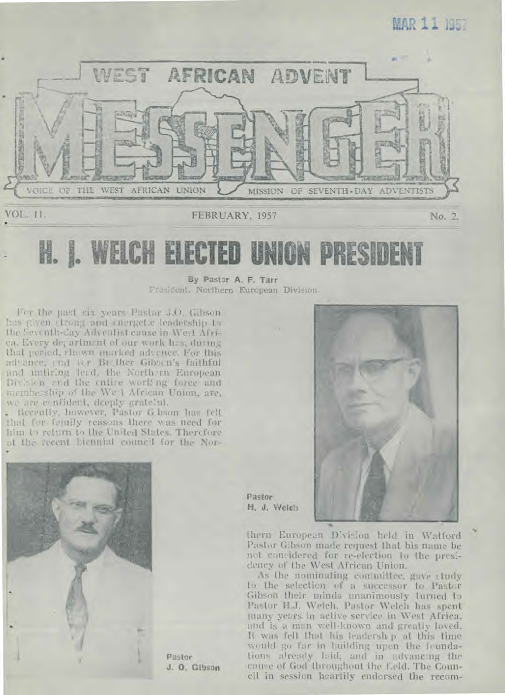# MAR 11 1957



I. WELCH **ELECTED UNION PRES** 

> By Pastor A. F. Tarr President, Northern European Division

For the past six years Pastor 4.0. Gibson has given strong and energetic leadership to the Seventh-Cay Adventist cause in West Afriea. Every der artment of our work has, during that period, shown marked advence. For this advance, and for Biother Gibaon's faithful and untiring lead, the Northern European Division and the entire working force and membership of the We I African Union, are, we are e nfident, deeply grateful.

Recently, however, Pastor G.bson has fell that for foundy reasons there was need for him in return to the United States. Therefore nt the recent hiennial council for the Nor-



Pastor J. O. Gibson



Pastor H. J. Weich

thern European Division held in Walford Pastor Gibson made request that his name be net considered for re-election to the presidency of the West African Union.

As the nominating committee, gave study to the selection of a successor to Pastor Gibson their minds unanimously lurned to Pastor H.J. Wetch, Pastor Welch has spent many years in active service in West Africa. and is a man well-known and greatly loved. It was fell that his leadersh p at this time would go far in building upon the foundations already Isid, and in udvancing the cause of God throughout the field. The Council in session heartily endorsed the recom-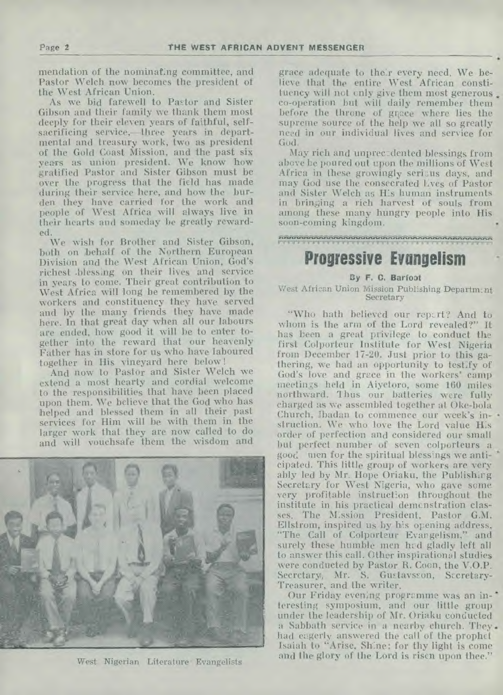mendation of the nominating committee, and Pastor Welch now becomes the president of the West African Union.

As we bid farewell to Pastor and Sister Gibson and their family we thank them most deeply for their eleven years of faithful, selfsacrificing service,—three years in departmental and treasury work, two as president of the Gold Coast Mission, and the past six years as union president. We know how gratified Pastor and Sister Gibson must be over the progress that the field has made during their service here, and how the burden they have carried for the work and people of West Africa will always live in their hearts and someday be greatly rewarded.

We wish for Brother and Sister Gibson, both on behalf of the Northern European Division and the West African Union, God's richest .blessing on their lives and service in years to come. Their great contribution to West Africa will long be remembered by the workers and constituency they have served and by the many friends they have made here. In that great day when all our labours are ended, how good it will be to enter together into the reward that our heavenly Father has in store for us who have laboured together in His vineyard here below !

And now to Pastor and Sister Welch we extend a most hearty and cordial welcome to the responsibilities that have been placed upon them. We believe that the God who has helped and blessed them in all their past services for Him will be with them in the larger work that they are now called to do and will vouchsafe them the wisdom and



West Nigerian Literature Evangelists

grace adequate to their every need. We believe that the entire West African constituency will not only give them most generous. co-operation but will daily remember them before the throne of gnace where lies the supreme source of the help we all so greatly need in our individual lives and service for God.

May rich and unprec:dented blessings from above he poured out upon the millions of West Africa in these growingly serious days, and may God use the consecrated lives of Pastor and Sister Welch as His human instruments in bringing a rich harvest of souls from among these many hungry people into His soon-coming kingdom.

*.7houreehas ."*  **11".11.11"11.11".11"11.11."11."11"91."11."11'** "1111.11'

### **Progressive Evangelism**

#### **By F. C. Barfoat**

West African Union Mission Publishing Departmant Secretary

"Who hath believed our repz.rt? And to whom is the arm of the Lord revealed?" It has been a great privilege to conduct the first Colporteur Institute for West Nigeria from December 17-20. Just prior to this gathering, we had an opportunity to testify of God's love and grace in the workers' camp meetings held in Aiyetoro, some 160 miles northward. 1 hus our batteries were fully charged as we assembled together at Oke-bola Church, Ibadan to commence our week's instruction. We who love the Lord value His order of perfection and considered our small but perfect number of seven colporteurs a good use for the spiritual blessings we anticipated. This little group of workers are very ably led by Mr. Hope Oriaku, the Publishing Secretary for West Nigeria, who gave some very profitable instruction throughout the institute in his practical demonstration classes. The Mission President, Pastor G.M. Ellstrom, inspired us by his opening address, "The Call of Colporteur Evangelism," and surely these humble men had gladly left all to answer this call. Other inspirational studies were conducted by Pastor R. Coon, the V.O.P. Secretary, Mr. S. Gustavsson, Sccretary-Treasurer, and the writer.

Our Friday evening programme was an interesting symposium, and our little group under the leadership of Mr. Oriaku conducted a Sabbath service in a nearby church. They had eagerly answered the call of the prophet Isaiah to "Arise, Shine; for thy light is come and the glory of the Lord is risen upon thee."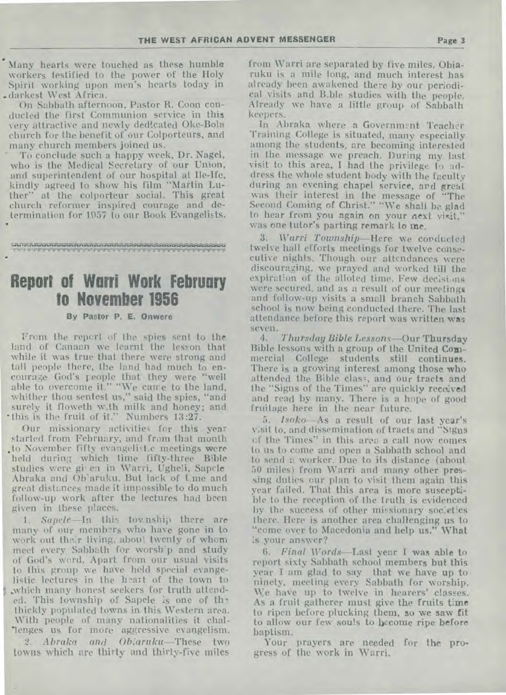Many hearts were touched as these humble workers testified to the power of the Holy Spirit working upon men's hearts today in .darkest West Africa.

On Sabbath afternoon, Pastor R. Coon conducted the first Communion service in this -very attractive and newly dedicated Oke-Bola church for the benefit of our Colporteurs, and many church members joined us.

• To conclude such a happy week, Dr. Nagel, who is the Medical Secretary of our Union, and superintendent of our hospital at Ile-Ife, kindly agreed to show his film "Martin Luther" at the colporteur social. This great church reformer inspired courage and determination for 1957 to our Book Evangelists. •

<sup>11</sup>.11.11".11".11".11".1P"ru".u.nr,P1r.ru...rivoru",r11.11'

•

# **Report of Warri Work February to November 1956**

#### **By Pastor P. E. Onwere**

From the report of the spies sent to the land of Canaan we learnt the lesson that while it was true that there were strong and tall people there, the land had much to encourage God's people that they were "well able to overcome it." "We came to the land, whither thou sentest us," said the spies, "and surely it floweth with milk and honey; and \*this is the fruit of it." Numbers 13:27.

Our missionary activities for this year started from February, and from that month to November fifty evangelistic meetings were held during which time fifty-three Bible studies were gi-en in Warri, Ugheli, Sapele Abraka and Ob'aruku. But lack of tme and great distances made it impossible to do much follow-up work after the lectures had been given in these places.

*1. Sapele—In* this tov.nship there are many of our members who have gone in to work out their living, about twenty of whom meet every Sabbath for worsh'p and study of God's word. Apart from our usual visits to this group we have held special evangelistic lectures in the heart of the town to 5 ..which many honest seekers for truth attended. This township of Sapele is one of the thickly populated towns in this Western area. With people of many nationalities it challenges us for more aggressive evangelism.

*2. Abraka and Ob:aruku—These* two towns which are thirty and thirty-five miles from Warri are separated by five miles. Obiaruku is a mile long, and much interest has already been awakened there by our periodical visits and Bible studies with the people. Already we have a little group of Sabbath keepers.

In Abraka where a Government Teacher Training College is situated, many especially among the students, are becoming interested in the message we preach. During my last visit to this area, I had the privilege to address the whole student body with the faculty during an evening chapel service, ard great was their interest in the message of "The Second Coming of Christ." "We shall be glad to hear from you again on your next visit," was one tutor's parting remark to me.

3. Warri Township—Here we corducted twelve hall efforts meetings for twelve consecutive nights. Though our attendances were discouraging, we prayed and worked till the expiration of the alloted time. Few decisions were secured, and as a result of our meetings and follow-up visits a small branch Sabbath school is now being conducted there. The last attendance before this report was written was seven.<br>4.

*4. Thursday Bible Lessons—Our* **Thursday**  Bible lessons with a group of the United Commercial College students still continues. There is a growing interest among those who attended the Bible class, and our tracts and the "Signs of the Times" are quickly received and read by many. There is a hope of good fruitage here in the near future.

*5. Isoko—As* a result of our last year's visit to, and dissemination of tracts and "Signs cf the Times" in this area a call now comes to us to come and open a Sabbath school and to send a worker. Due to its distance (about 50 miles) from Warri and many other pressing duties our plan to visit them again this year failed. That this area is more susceptible to the reception of the truth is evidenced by the success of other missionary societies there. Here is another area challenging us to "come over to Macedonia and help us." What is your answer?

*6. Final Words—Last* year I **was able** to report sixty Sabbath school members but this year I am glad to say that we have up to ninety, meeting every Sabbath for worship. We have up to twelve in hearers' classes. As a fruit gatherer must give the fruits **time**  to ripen before plucking them, so we **saw** fit to allow our few souls to become ripe before baptism.

Your prayers are needed for the progress of the work in Warri.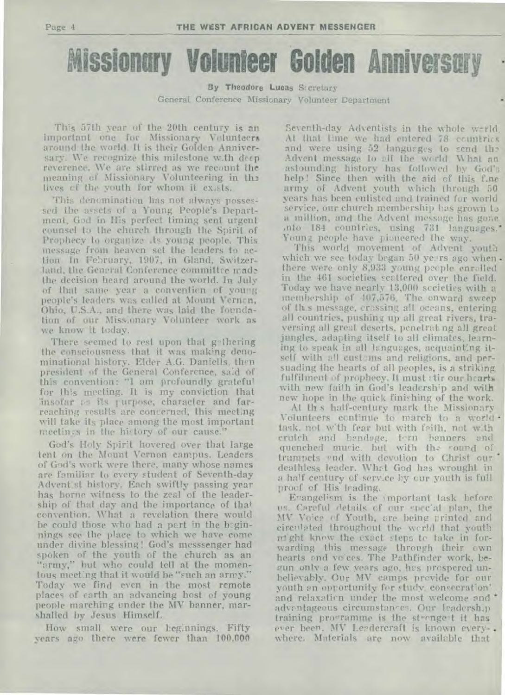**Missionary Volunteer Golden Anniversary** 

By Theodore Lucas Sccretary General Conference Missionary Volunteer Department

This 57th year of the 20th century is an important one for Missionary Volunteers around the world. It is their Golden Anniversary. We recognize this milestone w.th deep reverence. We are stirred as we recount the meaning of Missionary Volunteering in the lives cf the youth for whom it exists.

This denomination has not always possessed the assets of a Young People's Department. God in His perfect timing sent urgent counsel to the church through the Spirit of Prophecy to organize its young people. This message from heaven set the leaders to action In Fehruary, 1907, in Gland, Switzerland, the General Conference committee made the decision heard around the world. In July of that same year a convention of young people's leaders was called at Mount Vernen, Ohio, U.S.A., and there was laid the foundation of our Missionary Volunteer work as we know it today.

There seemed to rest upon that gethering the consciousness that it was making denominational history. Elder A.G. Daniells, then president of the General Conference, said of this convention: "I am profoundly grateful for this meeting. It is my conviction that :insofar as its purpose, character and farreaching results are concerned, this meeting will take its place among the most important meetings in the history of our cause."

God's Holy Spirit hovered over that large tent on the Mount Vernon campus. Leaders of God's work were there, many whose names are familiar to every student of Seventh-day Advent st history. Each swiftly passing year has borne witness to the zeal of the leadership of that day and the importance of that convention. What a revelation there would be could those who had a port in the beginnings see the place to which we have come under divine blessing! God's messsenger had spoken of the youth of the church as an "army," but who could tell at the momentous meeting that it would be "such an army." Today we find even in the most remote places of earth an advancing host of young people marching under the MV banner, marshalled by Jesus Himself.

How small were our beginnings. Fifty years ago there were fewer than 100,000

Seventh-day Adventists in the whole werld. At that time we had entered 78 countries and were using 52 languages to send the Advent message to all the world. What an astounding history has followed by God's help! Since then with the aid of this f.ne army of Advent youth which through 50 years has been enlisted and trained for world service, our church membership has grown to a million, and the Advent message has gone into 184 countries, using 731 languages.' Young people have pioneered the way.

This world movement of Advent youth which we see today began 50 years ago when. there were only 8,933 young people enrolled in the 461 societies scattered over the field. Today we have nearly 13,000 societies with a membership of 407,576. The onward sweep of this message, crossing all oceans, entering all countries, pushing up all great rivers, traversing all great deserts, penetrating all great jungles, adapting itself to all climates, learning to speak in all languages, acquainting itself with all customs and religions, and persuading the hearts of all peoples, is a striking fulfilment of prophecy. It must stir our hearts with new faith in God's leadership and with new hope in the quick finishing of the work.

At th s half-century mark the Missionary Volunteers continue to march to a world task, not with fear but with faith, not with crutch and bandage, tern banners and quenched music. but with the sound of trumpets and with devotion to Christ our deathless leader. What God has wrought in a half century of service by cur youth is full procf of His leading.

Evangelism is the important task before us. Careful details cf our special plan, the MV Voice of Youth, ore being printed and cirenlated throughout the werld that youth night knew the exact steps te take in forwarding this message through their own hearts and vo:ces. The Pathfinder work, begun only a few years ago, has prospered unbelievably. Our MV camps provide for our youth an opportunity for study, consecration' and relaxation under the most welcome and advantageous circumstances. Our leadership training programme is the strongest it has ever been. MV Leadercraft is known everywhere. Materials are now available that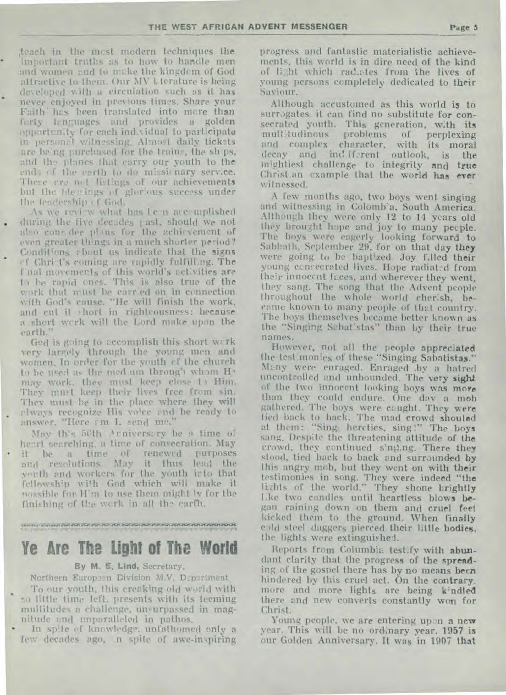teach in the most modern techniques the important truths as to how to handle men and women and to make the kingdom of God allractive to them. Our MV Literature is being developed with a circulation such as it has never enjoyed in previous times. Share your Faith' has been translated into more than forty lenguages and provides a golden opportunity for each individual to participate in personal witnessing. Almost daily tickets are being purchased for the trains, the ships, and the planes that carry our youth to the ends of the earth to do missionary service. These are not listings of our achievements but the blessings of glorious success under the leadership of God.

As we review what has Le n accomplished during the five decades past, should we not also cons der plans for the achievement of even greater things in a much shorter period? Conditions about us indicate that the signs of Christ's coming are rapidly fulfilling. The I nal movements of this world's activities are to be rapid ones. This is also true of the work that must be carried on in connection with God's cause. "He will finish the work, and cut it thort in rightcousness: because a short work will the Lord make upon the earth.'

Ged is going to accomplish this short work very largely through the young men and women. In order for the youth of the church to be used as the med um through whom Hy may work, they must keep close 14 Him. They must keep their lives free from sin. They must be in the place where they will always recognize His voice and he ready to answer, "Here am I, send me."

May this 50th Arniversery be a time of heart searching, a time of consecration. May it be a time of renewed<br>and resolutions. May it thus **THITPOSES** lend the youth and workers for the youth into that fellowship with God which will make it possible for H'm to use them might by for the finishing of the work in all the carth.

#### 

# Ye Are The Light of The World

#### By M. E. Lind, Secretary,

Northern Europeen Division M.V. Department

To our youth, this creaking old world with so little time left, presents with its teeming mullitudes a challenge, unsurpassed in magnitude and unparalleled in pathos,

In spile of knowledge, unfathomed only a few decades ago, n spite of awe-inspiring progress and fantastic materialistic achievements, this world is in dire need of the kind of light which radictes from the lives of young persons completely dedicated to their Saviour.

Although accustomed as this world is to surrogates it can find no substitute for consecrated youth. This generation, with its multitudinous problems of perplexing and complex character, with its moral decay and indfferent outlook, is the mightiest challenge to integrity and true Christ.an example that the world has ever witnessed.

A few months ago, two boys went singing and witnessing in Colomb'a, South America. Although they were only 12 to 14 years old they brought hope and joy to many people. The boys were eagerly looking forward to Sabbath, September 29, for on that day they were going to be baptized Joy filled their young consecrated lives. Hope radiated from their innocent faces, and wherever they went. they sang. The song that the Advent people throughout the whole world cherish, became known to many people of that country. The hoys themselves became better known as the "Singing Sabat'stas" than by their true names.

However, not all the people appreciated<br>the test monies of these "Singing Sabatistas." Many were enraged. Enraged by a hatred uncontrolled and unbounded. The very sight of the two innocent looking boys was more than they could endure. One day a mob gathered. The boys were cought. They were tied back to back. The mad crowd shouled at them: "Sing, hercties, sing!" The boys sang. Despite the threatening attitude of the crowd, they continued singing. There they stood, tied back to back and surrounded by this angry mob, but they went on with their testimonies in song. They were indeed "the<br>lights of the world." They shone brightly Lke two candles until heartless blows began raining down on them and cruel feet kicked them to the ground. When finally cold steel daggers pierced their little bodies. the lights were extinguished.

Reports from Columbia test.fy with abundant clarity that the progress of the spreading of the gospel there has by no means been hindered by this cruel act. On the contrary, more and more lights are being kindled there and new converts constantly won for Christ.

Young people, we are entering upon a new year, This will be no ordinary year. 1957 is our Golden Anniversary. It was in 1907 that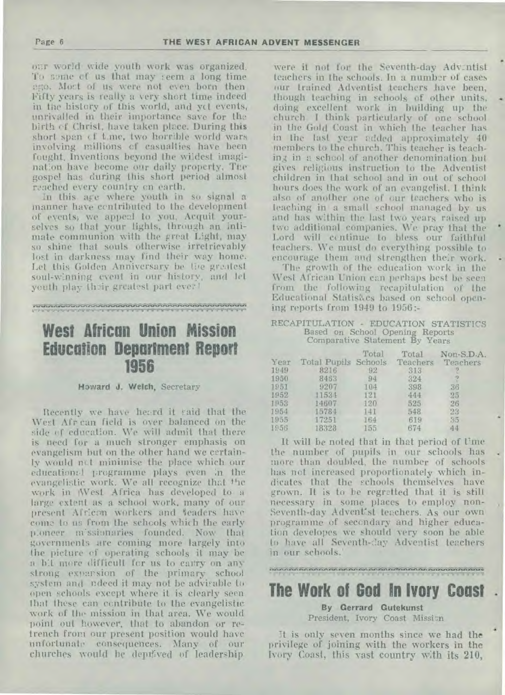our world wide youth work was organized. To some cf us that may teem a long time ego. Most of us were not even born then. Fifty years is really a very short time indeed in *the* history of this world, and yet events, unrivalled in their importance save for the birth cf Christ, have taken place. During this short span of time, two horrible world wars involving millions cf casualties have been fought. Inventions beyond the wildest imagination have become our daily property. The gospel has during this short period almost reached every country en earth.

In this are where youth in so signal a manner have contributed to the development of events, we appeal to you. Acquit yourselves so that your lights, through an intimate communion with the great Light, may so shine that souls otherwise irretrievably lost in darkness may find their way home. Let this Golden Anniversary be *the* gro.itest soul-winning event in our history, and lel youth play their greatest part ever!

# **West African Union Mission Education Department Report 1956**

**u...r** 1,11.11"

#### **Howard J. Welch,** Secretary

Recently we have heard it said that the West Afr can field is over balanced on the side of education. We will admit that there is need for a much stronger emphasis on evangelism but on the other hand we certainly would net minimise the place which our education:1 programme plays even in the evangelistic work. We all recognize that the work in West Africa has developed to a large extent as a school work, many of our present African workers and teaders have come to us from the schools which the early ploneer m'ssionaries founded. Now that governments are coming more largely into the picture of operating schools it may be a bit more difficult for us to carry on any strong expansion of the primary school system and ndeed it may not be advisable to open schools except where it is clearly seen that these can contribute to the evangelistic work of the mission in that area. We would point out however, that to abandon or retrench from our present position would have unfortunate consequences. Many of our churches would he depil;ved of leadership

were it not for the Seventh-day Advintist teachers in the schools. In a number of cases our trained Adventist teachers have been, though teaching in schools of other units, doing excellent work in building up the church. I think particularly of one school in the Gold Coast in which the teacher has in the last year added approximately 40 members to the church. This teacher is teaching in a school of another denomination but gives religious instruction to the Adventist children in that school and in out of school hours does the work of an evangelist. I think also of another one of our teachers who is teaching in a small school managed by us and has within the last two years raised up two additional companies. We pray that the Lord will ccntinue to bless our faithful teachers. We must do everything possible to encourage them and strengthen their work.

The growth of the education work in the West African Union can perhaps best be seen from the following recapitulation of the Educational Statistics based on school opening reports from 1949 to 1956:-

#### RECAPITULATION - EDUCATION STATISTICS Based on School Opening Reports Comparative Statement By Years

| Year<br>1949 | Total Pupils Schools<br>8216 | Total<br>92 | Total<br>Teachers<br>313 | Non-S.D.A.<br>Teachers<br>12 |
|--------------|------------------------------|-------------|--------------------------|------------------------------|
| 1950         | 8463                         | 94          | 324                      | 2                            |
| 1951         | 9207                         | 104         | 398                      | 36                           |
| 1952         | 11534                        | 121         | 444                      | 25                           |
| 1953         | 14607                        | 120         | 525                      | 26                           |
| 1954         | 15784                        | 141         | 548                      | 23                           |
| 1955         | 17251                        | 164         | 619                      | 35                           |
| 1956         | 18328                        | 155         | 674                      | 44                           |

It will be noted that in that period of time the number of pupils in our schools has more than doubled, the number of schools has not increased proportionately which indicates that the schools themselves have grown. It is to be regretted that it is still necessary in some places to employ non-Seventh-day Advent'st teachers. As our own programme of seccndary and higher education developes we should very soon be able to have all Seventh-day Adventist teachers in our schools.'

# **The Work of God In Ivory Coast**

#### **By Gerrard Gutekunst**

President, Ivory Coast Mission

it is only seven months since we had the privilege of joining with the workers in the Ivory Coast, this vast country with its 210,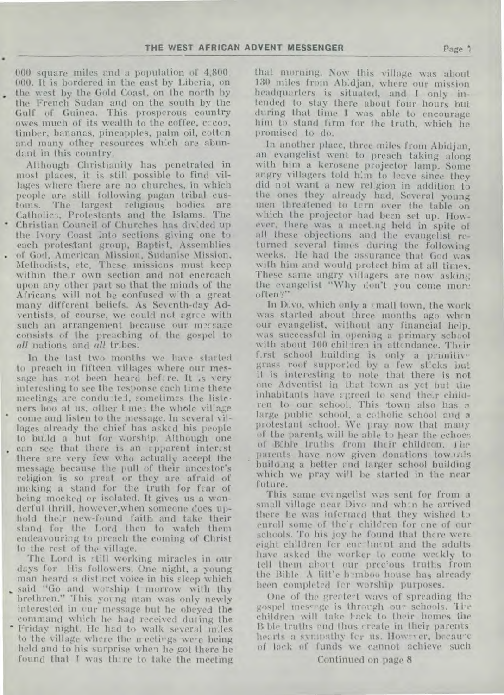000 square miles and a population of 4,800, 000. It is bordered in the east by Liberia, on the west by the Gold Coast, on the north by the French. Sudan and on the south by the Gulf of Guinea. This prosperous country owes much of its wealth to the coffee, c:co2, timber, bananas, pineapples, palm oil, cotton and many other resources which are abundant in this country.

Although Christianity has penetrated in most places, it is still possible to find villages where there are no churches, in which people are still following pagan tribal customs. The largest religious bodies are Catholics, Protestants and the Islams. The Christian Council of Churches has divided up the Ivory Coast into sections giving one to each protestant group, Baptist, Assemblies . of God, American Mission, Sudanise Mission, of God, American Mission, Sudanise Mission,<br>Methodists, etc. These missions must keep within their own section and not encroach upon any other part so that the minds of the Africans will not be confused w:th a great many different beliefs. As Seventh-day Adventists, of course, we could not agree with such an arrangement because our mersage consists of the preaching of the gospel to *all* nations and *all* tribes.

In the last two months we have started to preach in fifteen villages where our message has not been heard bef, re. It is very interesting to see the response each time these meetings are conducted, sometimes the listeners boo at us, other t me; the whole village come and listen to the message. In several villages already the chief has asked his people to budd a hut for worship. Although. one • can see that there is an rpparent interest there are *very* few who actually accept the message because the pull of their ancestor's religion is so great or they are afraid of making a stand for the truth for fear of being mocked or isolated. It gives us a wonderful thrill, however,when someone does uphold their new-found faith and take their stand for the Lord then to watch them endeavouring to preach the coming of Christ to the rest of the village.

The Lord is still working miracles in our days for His followers. One night, a young man heard a distinct voice in his sleep which said "Go and worship t-morrow with thy brethren." This young man was only newly interested in our message but he obeyed the command which he had received during the • Friday night. He had to walk several miles

to the village where the n-eetirgs were being held and to his surprise when he *got* there he found that I was there to take the meeting that morning. Now this village was about 130 miles from Abidjan, where our mission headquarters is situated, and I only intended to stay there about four hours but during that time I was able to encourage him to stand firm for the truth, which he promised to do.

In another place, three miles from Abidjan, an evangelist went to preach taking along with him a kerosene projector lamp. Some angry villagers told him to leave since they did not want a new reLgion in addition to the ones they already had. Several young men thredtened to turn over the table on which the projector had been set up. However, there was a meeting held in spite of all these objections and the evangelist returned several times during the following weeks.. He had the assurance that God was with him and would protect him at all times. These same angry villagers are now asking the evangelist "Why don't you come more often?"

In Dive), which only a small town, the work was started about three months ago when our evangelist, without any financial help. was successful in opening a primary school with about 100 children in attendance. Their f.rst school building is only a primitive grass roof supported by a few st:cks but it is interesting to note that there is not one Adventist in that town as yet but the inhabitants have agreed to send their children to our school. 'This 'town also has a large public school, a catholic school and a protestant school. We pray now that many of the parents will be able to hear the echoer of Bible truths from their children. The parents have now given donations towards building a better end larger school building which we pray will he started in the near future.

This same evangelist was sent for from a small village near Divo and wh:n he arrived there he was informed that they wished to enroll some of the'r children for one of our schools. To his joy he found that there were eight children for enr lment and the adults have asked the worker to come weekly to tell them about our precious truths from the Bible. A litt'e b mboo house has already been completed for worship purposes.

One of the greetert ways of spreading the gospel message is through our schools. The children will take back to their homes the B ble truths and thus create in their parents' hearts a sympathy fcr us. However, becau-c of lack of funds we cannot achieve such

Continued on page 8